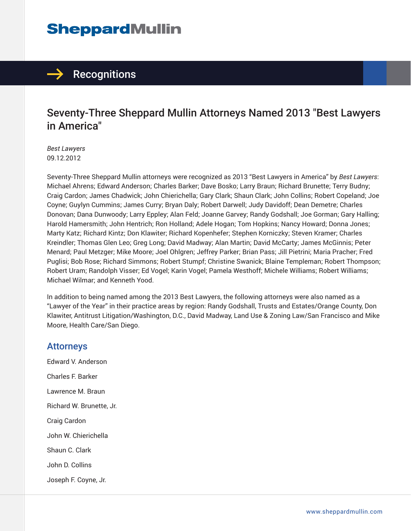# **SheppardMullin**



### Seventy-Three Sheppard Mullin Attorneys Named 2013 "Best Lawyers in America"

*Best Lawyers* 09.12.2012

Seventy-Three Sheppard Mullin attorneys were recognized as 2013 "Best Lawyers in America" by *Best Lawyers*: Michael Ahrens; Edward Anderson; Charles Barker; Dave Bosko; Larry Braun; Richard Brunette; Terry Budny; Craig Cardon; James Chadwick; John Chierichella; Gary Clark; Shaun Clark; John Collins; Robert Copeland; Joe Coyne; Guylyn Cummins; James Curry; Bryan Daly; Robert Darwell; Judy Davidoff; Dean Demetre; Charles Donovan; Dana Dunwoody; Larry Eppley; Alan Feld; Joanne Garvey; Randy Godshall; Joe Gorman; Gary Halling; Harold Hamersmith; John Hentrich; Ron Holland; Adele Hogan; Tom Hopkins; Nancy Howard; Donna Jones; Marty Katz; Richard Kintz; Don Klawiter; Richard Kopenhefer; Stephen Korniczky; Steven Kramer; Charles Kreindler; Thomas Glen Leo; Greg Long; David Madway; Alan Martin; David McCarty; James McGinnis; Peter Menard; Paul Metzger; Mike Moore; Joel Ohlgren; Jeffrey Parker; Brian Pass; Jill Pietrini; Maria Pracher; Fred Puglisi; Bob Rose; Richard Simmons; Robert Stumpf; Christine Swanick; Blaine Templeman; Robert Thompson; Robert Uram; Randolph Visser; Ed Vogel; Karin Vogel; Pamela Westhoff; Michele Williams; Robert Williams; Michael Wilmar; and Kenneth Yood.

In addition to being named among the 2013 Best Lawyers, the following attorneys were also named as a "Lawyer of the Year" in their practice areas by region: Randy Godshall, Trusts and Estates/Orange County, Don Klawiter, Antitrust Litigation/Washington, D.C., David Madway, Land Use & Zoning Law/San Francisco and Mike Moore, Health Care/San Diego.

#### Attorneys

Edward V. Anderson Charles F. Barker Lawrence M. Braun Richard W. Brunette, Jr. Craig Cardon John W. Chierichella Shaun C. Clark John D. Collins Joseph F. Coyne, Jr.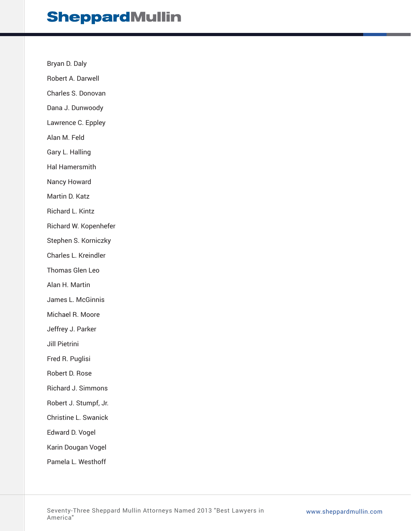### **SheppardMullin**

Bryan D. Daly

Robert A. Darwell

Charles S. Donovan

Dana J. Dunwoody

Lawrence C. Eppley

Alan M. Feld

Gary L. Halling

Hal Hamersmith

Nancy Howard

Martin D. Katz

Richard L. Kintz

Richard W. Kopenhefer

Stephen S. Korniczky

Charles L. Kreindler

Thomas Glen Leo

Alan H. Martin

James L. McGinnis

Michael R. Moore

Jeffrey J. Parker

Jill Pietrini

Fred R. Puglisi

Robert D. Rose

Richard J. Simmons

Robert J. Stumpf, Jr.

Christine L. Swanick

Edward D. Vogel

Karin Dougan Vogel

Pamela L. Westhoff